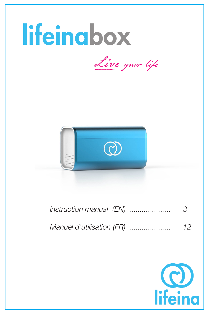

| Manuel d'utilisation (FR) |  |  |  |  | 12 |
|---------------------------|--|--|--|--|----|
|---------------------------|--|--|--|--|----|

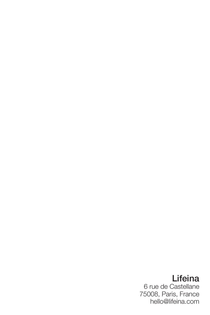# Lifeina

6 rue de Castellane 75008, Paris, France hello@lifeina.com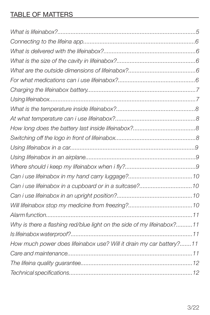### TABLE OF MATTERS

| Why is there a flashing red/blue light on the side of my lifeinabox?11 |
|------------------------------------------------------------------------|
|                                                                        |
| How much power does lifeinabox use? Will it drain my car battery?11    |
|                                                                        |
|                                                                        |
|                                                                        |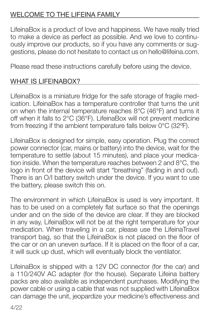## WELCOME TO THE LIFEINA FAMILY

LifeinaBox is a product of love and happiness. We have really tried to make a device as perfect as possible. And we love to continuously improve our products, so if you have any comments or suggestions, please do not hesitate to contact us on hello@lifeina.com.

Please read these instructions carefully before using the device.

## WHAT IS LIFEINABOX?

LifeinaBox is a miniature fridge for the safe storage of fragile medication. LifeinaBox has a temperature controller that turns the unit on when the internal temperature reaches 8°C (46°F) and turns it off when it falls to 2°C (36°F). LifeinaBox will not prevent medicine from freezing if the ambient temperature falls below 0°C (32ºF).

LifeinaBox is designed for simple, easy operation. Plug the correct power connector (car, mains or battery) into the device, wait for the temperature to settle (about 15 minutes), and place your medication inside. When the temperature reaches between 2 and 8°C, the logo in front of the device will start "breathing" (fading in and out). There is an O/I battery switch under the device. If you want to use the battery, please switch this on.

The environment in which LifeinaBox is used is very important. It has to be used on a completely flat surface so that the openings under and on the side of the device are clear. If they are blocked in any way, LifeinaBox will not be at the right temperature for your medication. When traveling in a car, please use the LifeinaTravel transport bag, so that the LifeinaBox is not placed on the floor of the car or on an uneven surface. If it is placed on the floor of a car, it will suck up dust, which will eventually block the ventilator.

LifeinaBox is shipped with a 12V DC connector (for the car) and a 110/240V AC adapter (for the house). Separate Lifeina battery packs are also available as independent purchases. Modifying the power cable or using a cable that was not supplied with LifeinaBox can damage the unit, jeopardize your medicine's effectiveness and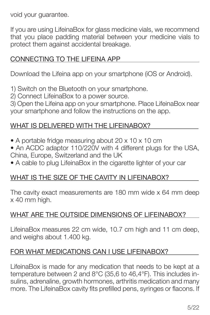void your guarantee.

If you are using LifeinaBox for glass medicine vials, we recommend that you place padding material between your medicine vials to protect them against accidental breakage.

#### CONNECTING TO THE LIFEINA APP

Download the Lifeina app on your smartphone (iOS or Android).

1) Switch on the Bluetooth on your smartphone.

2) Connect LifeinaBox to a power source.

3) Open the Lifeina app on your smartphone. Place LifeinaBox near your smartphone and follow the instructions on the app.

#### WHAT IS DELIVERED WITH THE LIFEINABOX?

- A portable fridge measuring about 20 x 10 x 10 cm
- An ACDC adaptor 110/220V with 4 different plugs for the USA, China, Europe, Switzerland and the UK
- A cable to plug LifeinaBox in the cigarette lighter of your car

#### WHAT IS THE SIZE OF THE CAVITY IN LIFEINABOX?

The cavity exact measurements are 180 mm wide x 64 mm deep x 40 mm high.

#### WHAT ARE THE OUTSIDE DIMENSIONS OF LIFEINABOX?

LifeinaBox measures 22 cm wide, 10.7 cm high and 11 cm deep, and weighs about 1.400 kg.

#### FOR WHAT MEDICATIONS CAN I USE LIFEINABOX?

LifeinaBox is made for any medication that needs to be kept at a temperature between 2 and 8°C (35,6 to 46,4°F). This includes insulins, adrenaline, growth hormones, arthritis medication and many more. The LifeinaBox cavity fits prefilled pens, syringes or flacons. If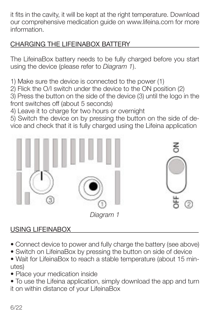it fits in the cavity, it will be kept at the right temperature. Download our comprehensive medication guide on www.lifeina.com for more information.

## CHARGING THE LIFEINABOX BATTERY

The LifeinaBox battery needs to be fully charged before you start using the device (please refer to *Diagram 1*).

1) Make sure the device is connected to the power (1)

2) Flick the O/I switch under the device to the ON position (2)

3) Press the button on the side of the device (3) until the logo in the front switches off (about 5 seconds)

4) Leave it to charge for two hours or overnight

5) Switch the device on by pressing the button on the side of device and check that it is fully charged using the Lifeina application



*Diagram 1*

## USING LIFEINABOX

- Connect device to power and fully charge the battery (see above)
- Switch on LifeinaBox by pressing the button on side of device
- Wait for LifeinaBox to reach a stable temperature (about 15 minutes)
- Place your medication inside
- To use the Lifeina application, simply download the app and turn it on within distance of your LifeinaBox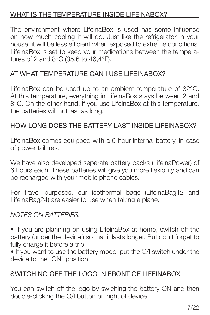### WHAT IS THE TEMPERATURE INSIDE LIFEINABOX?

The environment where LifeinaBox is used has some influence on how much cooling it will do. Just like the refrigerator in your house, it will be less efficient when exposed to extreme conditions. LifeinaBox is set to keep your medications between the temperatures of 2 and 8°C (35,6 to 46,4°F).

## AT WHAT TEMPERATURE CAN I USE LIFEINABOX?

LifeinaBox can be used up to an ambient temperature of 32°C. At this temperature, everything in LifeinaBox stays between 2 and 8°C. On the other hand, if you use LifeinaBox at this temperature, the batteries will not last as long.

### HOW LONG DOES THE BATTERY LAST INSIDE LIFEINABOX?

LifeinaBox comes equipped with a 6-hour internal battery, in case of power failures.

We have also developed separate battery packs (LifeinaPower) of 6 hours each. These batteries will give you more flexibility and can be recharged with your mobile phone cables.

For travel purposes, our isothermal bags (LifeinaBag12 and LifeinaBag24) are easier to use when taking a plane.

#### *NOTES ON BATTERIES:*

• If you are planning on using LifeinaBox at home, switch off the battery (under the device ) so that it lasts longer. But don't forget to fully charge it before a trip

• If you want to use the battery mode, put the O/I switch under the device to the "ON" position

## SWITCHING OFF THE LOGO IN FRONT OF LIFEINABOX

You can switch off the logo by swiching the battery ON and then double-clicking the O/I button on right of device.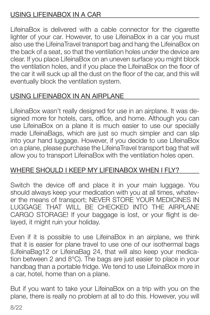## USING LIFEINABOX IN A CAR

LifeinaBox is delivered with a cable connector for the cigarette lighter of your car. However, to use LifeinaBox in a car you must also use the LifeinaTravel transport bag and hang the LifeinaBox on the back of a seat, so that the ventilation holes under the device are clear. If you place LifeinaBox on an uneven surface you might block the ventilation holes, and if you place the LifeinaBox on the floor of the car it will suck up all the dust on the floor of the car, and this will eventually block the ventilation system.

## USING LIFEINABOX IN AN AIRPLANE

LifeinaBox wasn't really designed for use in an airplane. It was designed more for hotels, cars, office, and home. Although you can use LifeinaBox on a plane it is much easier to use our specially made LifeinaBags, which are just so much simpler and can slip into your hand luggage. However, if you decide to use LifeinaBox on a plane, please purchase the LifeinaTravel transport bag that will allow you to transport LifeinaBox with the ventilation holes open.

## WHERE SHOULD I KEEP MY LIFEINABOX WHEN I FLY?

Switch the device off and place it in your main luggage. You should always keep your medication with you at all times, whatever the means of transport; NEVER STORE YOUR MEDICINES IN LUGGAGE THAT WILL BE CHECKED INTO THE AIRPLANE CARGO STORAGE! If your baggage is lost, or your flight is delayed, it might ruin your holiday.

Even if it is possible to use LifeinaBox in an airplane, we think that it is easier for plane travel to use one of our isothermal bags (LifeinaBag12 or LifeinaBag 24, that will also keep your medication between 2 and 8°C). The bags are just easier to place in your handbag than a portable fridge. We tend to use LifeinaBox more in a car, hotel, home than on a plane.

But if you want to take your LifeinaBox on a trip with you on the plane, there is really no problem at all to do this. However, you will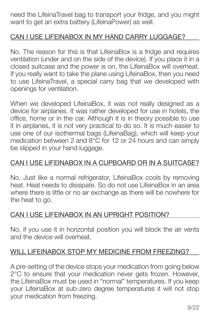need the LifeinaTravel bag to transport your fridge, and you might want to get an extra battery (LifeinaPower) as well.

## CAN I USE LIFEINABOX IN MY HAND CARRY LUGGAGE?

No. The reason for this is that LifeinaBox is a fridge and requires ventilation (under and on the side of the device). If you place it in a closed suitcase and the power is on, the LifeinaBox will overheat. If you really want to take the plane using LifeinaBox, then you need to use LifeinaTravel, a special carry bag that we developed with openings for ventilation.

When we developed LifeinaBox, it was not really designed as a device for airplanes. It was rather developed for use in hotels, the office, home or in the car. Although it is in theory possible to use it in airplanes, it is not very practical to do so. It is much easier to use one of our isothermal bags (LifeinaBag), which will keep your medication between 2 and 8°C for 12 or 24 hours and can simply be slipped in your hand luggage.

#### CAN I USE LIFEINABOX IN A CUPBOARD OR IN A SUITCASE?

No. Just like a normal refrigerator, LifeinaBox cools by removing heat. Heat needs to dissipate. So do not use LifeinaBox in an area where there is little or no air exchange as there will be nowhere for the heat to go.

#### CAN I USE LIFEINABOX IN AN UPRIGHT POSITION?

No, if you use it in horizontal position you will block the air vents and the device will overheat.

#### WILL LIFEINABOX STOP MY MEDICINE FROM FREEZING?

A pre-setting of the device stops your medication from going below 2°C to ensure that your medication never gets frozen. However, the LifeinaBox must be used in "normal" temperatures. If you keep your LifeinaBox at sub-zero degree temperatures it will not stop your medication from freezing.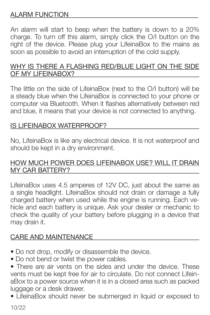### ALARM FUNCTION

An alarm will start to beep when the battery is down to a 20% charge. To turn off this alarm, simply click the O/I button on the right of the device. Please plug your LifeinaBox to the mains as soon as possible to avoid an interruption of the cold supply.

#### WHY IS THERE A FLASHING RED/BLUE LIGHT ON THE SIDE OF MY LIFEINABOX?

The little on the side of LifeinaBox (next to the O/I button) will be a steady blue when the LifeinaBox is connected to your phone or computer via Bluetooth. When it flashes alternatively between red and blue, it means that your device is not connected to anything.

#### IS LIFEINABOX WATERPROOF?

No, LifeinaBox is like any electrical device. It is not waterproof and should be kept in a dry environment.

#### HOW MUCH POWER DOES LIFEINABOX USE? WILL IT DRAIN MY CAR BATTERY?

LifeinaBox uses 4.5 amperes of 12V DC, just about the same as a single headlight. LifeinaBox should not drain or damage a fully charged battery when used while the engine is running. Each vehicle and each battery is unique. Ask your dealer or mechanic to check the quality of your battery before plugging in a device that may drain it.

#### CARE AND MAINTENANCE

- Do not drop, modify or disassemble the device.
- Do not bend or twist the power cables.

• There are air vents on the sides and under the device. These vents must be kept free for air to circulate. Do not connect LifeinaBox to a power source when it is in a closed area such as packed luggage or a desk drawer.

• LifeinaBox should never be submerged in liquid or exposed to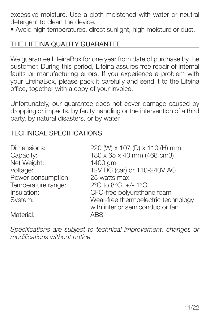excessive moisture. Use a cloth moistened with water or neutral detergent to clean the device.

• Avoid high temperatures, direct sunlight, high moisture or dust.

### THE LIFEINA QUALITY GUARANTEE

We guarantee LifeinaBox for one year from date of purchase by the customer. During this period, Lifeina assures free repair of internal faults or manufacturing errors. If you experience a problem with your LifeinaBox, please pack it carefully and send it to the Lifeina office, together with a copy of your invoice.

Unfortunately, our guarantee does not cover damage caused by dropping or impacts, by faulty handling or the intervention of a third party, by natural disasters, or by water.

#### TECHNICAL SPECIFICATIONS

| Dimensions:<br>Capacity:<br>Net Weight:<br>Voltage:<br>Power consumption:<br>Temperature range: | 220 (W) x 107 (D) x 110 (H) mm<br>180 x 65 x 40 mm (468 cm3)<br>1400 gm<br>12V DC (car) or 110-240V AC<br>25 watts max<br>2°C to 8°C, $+/- 1$ °C |
|-------------------------------------------------------------------------------------------------|--------------------------------------------------------------------------------------------------------------------------------------------------|
| Insulation:                                                                                     | CFC-free polyurethane foam                                                                                                                       |
| System:                                                                                         | Wear-free thermoelectric technology<br>with interior semiconductor fan                                                                           |
| Material:                                                                                       | ARS.                                                                                                                                             |

*Specifications are subject to technical improvement, changes or modifications without notice.*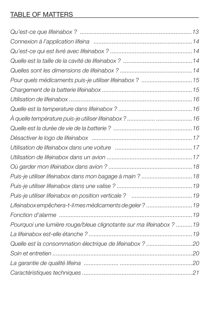## TABLE OF MATTERS

| Pour quels médicaments puis-je utiliser lifeinabox ? 15             |
|---------------------------------------------------------------------|
|                                                                     |
|                                                                     |
|                                                                     |
|                                                                     |
|                                                                     |
|                                                                     |
|                                                                     |
|                                                                     |
|                                                                     |
|                                                                     |
|                                                                     |
|                                                                     |
| Lifeinabox empêchera-t-il mes médicaments de geler ?  19            |
|                                                                     |
| Pourquoi une lumière rouge/bleue clignotante sur ma lifeinabox ? 19 |
|                                                                     |
| Quelle est la consommation électrique de lifeinabox ? 20            |
|                                                                     |
|                                                                     |
|                                                                     |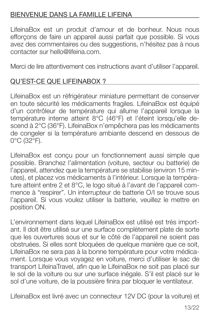### BIENVENUE DANS LA FAMILLE LIFEINA

LifeinaBox est un produit d'amour et de bonheur. Nous nous efforçons de faire un appareil aussi parfait que possible. Si vous avez des commentaires ou des suggestions, n'hésitez pas à nous contacter sur hello@lifeina.com.

Merci de lire attentivement ces instructions avant d'utiliser l'appareil.

## QU'EST-CE QUE LIFEINABOX ?

LifeinaBox est un réfrigérateur miniature permettant de conserver en toute sécurité les médicaments fragiles. LifeinaBox est équipé d'un contrôleur de température qui allume l'appareil lorsque la température interne atteint 8°C (46°F) et l'éteint lorsqu'elle descend à 2°C (36°F). LifeinaBox n'empêchera pas les médicaments de congeler si la température ambiante descend en dessous de 0°C (32°F).

LifeinaBox est conçu pour un fonctionnement aussi simple que possible. Branchez l'alimentation (voiture, secteur ou batterie) de l'appareil, attendez que la température se stabilise (environ 15 minutes), et placez vos médicaments à l'intérieur. Lorsque la température atteint entre 2 et 8°C, le logo situé à l'avant de l'appareil commence à "respirer". Un interrupteur de batterie O/I se trouve sous l'appareil. Si vous voulez utiliser la batterie, veuillez le mettre en position ON.

L'environnement dans lequel LifeinaBox est utilisé est très important. Il doit être utilisé sur une surface complètement plate de sorte que les ouvertures sous et sur le côté de l'appareil ne soient pas obstruées. Si elles sont bloquées de quelque manière que ce soit, LifeinaBox ne sera pas à la bonne température pour votre médicament. Lorsque vous voyagez en voiture, merci d'utiliser le sac de transport LifeinaTravel, afin que le LifeinaBox ne soit pas placé sur le sol de la voiture ou sur une surface inégale. S'il est placé sur le sol d'une voiture, de la poussière finira par bloquer le ventilateur.

LifeinaBox est livré avec un connecteur 12V DC (pour la voiture) et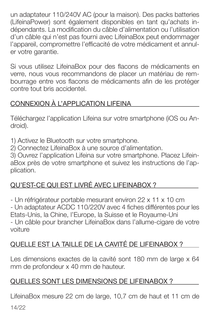un adaptateur 110/240V AC (pour la maison). Des packs batteries (LifeinaPower) sont également disponibles en tant qu'achats indépendants. La modification du câble d'alimentation ou l'utilisation d'un câble qui n'est pas fourni avec LifeinaBox peut endommager l'appareil, compromettre l'efficacité de votre médicament et annuler votre garantie.

Si vous utilisez LifeinaBox pour des flacons de médicaments en verre, nous vous recommandons de placer un matériau de rembourrage entre vos flacons de médicaments afin de les protéger contre tout bris accidentel.

## CONNEXION À L'APPLICATION LIFEINA

Téléchargez l'application Lifeina sur votre smartphone (iOS ou Android).

1) Activez le Bluetooth sur votre smartphone.

2) Connectez LifeinaBox à une source d'alimentation.

3) Ouvrez l'application Lifeina sur votre smartphone. Placez LifeinaBox près de votre smartphone et suivez les instructions de l'application.

## QU'EST-CE QUI EST LIVRÉ AVEC LIFEINABOX ?

- Un réfrigérateur portable mesurant environ 22 x 11 x 10 cm - Un adaptateur ACDC 110/220V avec 4 fiches différentes pour les Etats-Unis, la Chine, l'Europe, la Suisse et le Royaume-Uni - Un câble pour brancher LifeinaBox dans l'allume-cigare de votre voiture

## QUELLE EST LA TAILLE DE LA CAVITÉ DE LIFEINABOX ?

Les dimensions exactes de la cavité sont 180 mm de large x 64 mm de profondeur x 40 mm de hauteur.

## QUELLES SONT LES DIMENSIONS DE LIFEINABOX ?

LifeinaBox mesure 22 cm de large, 10,7 cm de haut et 11 cm de

14/22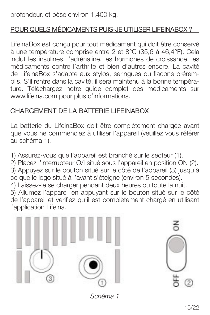profondeur, et pèse environ 1,400 kg.

## POUR QUELS MÉDICAMENTS PUIS-JE UTILISER LIFEINABOX ?

LifeinaBox est conçu pour tout médicament qui doit être conservé à une température comprise entre 2 et 8°C (35,6 à 46,4°F). Cela inclut les insulines, l'adrénaline, les hormones de croissance, les médicaments contre l'arthrite et bien d'autres encore. La cavité de LifeinaBox s'adapte aux stylos, seringues ou flacons préremplis. S'il rentre dans la cavité, il sera maintenu à la bonne température. Téléchargez notre guide complet des médicaments sur www.lifeina.com pour plus d'informations.

## CHARGEMENT DE LA BATTERIE LIFEINABOX

La batterie du LifeinaBox doit être complètement chargée avant que vous ne commenciez à utiliser l'appareil (veuillez vous référer au schéma 1).

1) Assurez-vous que l'appareil est branché sur le secteur (1).

2) Placez l'interrupteur O/I situé sous l'appareil en position ON (2). 3) Appuyez sur le bouton situé sur le côté de l'appareil (3) jusqu'à ce que le logo situé à l'avant s'éteigne (environ 5 secondes).

4) Laissez-le se charger pendant deux heures ou toute la nuit.

5) Allumez l'appareil en appuyant sur le bouton situé sur le côté de l'appareil et vérifiez qu'il est complètement chargé en utilisant l'application Lifeina.





*Schéma 1*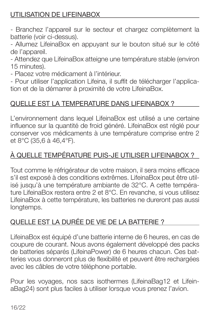## UTILISATION DE LIFEINABOX

- Branchez l'appareil sur le secteur et chargez complètement la batterie (voir ci-dessus).

- Allumez LifeinaBox en appuyant sur le bouton situé sur le côté de l'appareil.

- Attendez que LifeinaBox atteigne une température stable (environ 15 minutes).

- Placez votre médicament à l'intérieur.

- Pour utiliser l'application Lifeina, il suffit de télécharger l'application et de la démarrer à proximité de votre LifeinaBox.

## QUELLE EST LA TEMPERATURE DANS LIFEINABOX ?

L'environnement dans lequel LifeinaBox est utilisé a une certaine influence sur la quantité de froid généré. LifeinaBox est réglé pour conserver vos médicaments à une température comprise entre 2 et 8°C (35,6 à 46,4°F).

## À QUELLE TEMPÉRATURE PUIS-JE UTILISER LIFEINABOX ?

Tout comme le réfrigérateur de votre maison, il sera moins efficace s'il est exposé à des conditions extrêmes. LifeinaBox peut être utilisé jusqu'à une température ambiante de 32°C. A cette température LifeinaBox restera entre 2 et 8°C. En revanche, si vous utilisez LifeinaBox à cette température, les batteries ne dureront pas aussi longtemps.

## QUELLE EST LA DURÉE DE VIE DE LA BATTERIE ?

LifeinaBox est équipé d'une batterie interne de 6 heures, en cas de coupure de courant. Nous avons également développé des packs de batteries séparés (LifeinaPower) de 6 heures chacun. Ces batteries vous donneront plus de flexibilité et peuvent être rechargées avec les câbles de votre téléphone portable.

Pour les voyages, nos sacs isothermes (LifeinaBag12 et LifeinaBag24) sont plus faciles à utiliser lorsque vous prenez l'avion.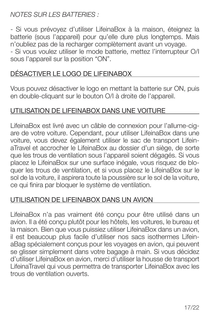*NOTES SUR LES BATTERIES :*

- Si vous prévoyez d'utiliser LifeinaBox à la maison, éteignez la batterie (sous l'appareil) pour qu'elle dure plus longtemps. Mais n'oubliez pas de la recharger complètement avant un voyage. - Si vous voulez utiliser le mode batterie, mettez l'interrupteur O/I sous l'appareil sur la position "ON".

### DÉSACTIVER LE LOGO DE LIFEINABOX

Vous pouvez désactiver le logo en mettant la batterie sur ON, puis en double-cliquant sur le bouton O/I à droite de l'appareil.

#### UTILISATION DE LIFEINABOX DANS UNE VOITURE

LifeinaBox est livré avec un câble de connexion pour l'allume-cigare de votre voiture. Cependant, pour utiliser LifeinaBox dans une voiture, vous devez également utiliser le sac de transport LifeinaTravel et accrocher le LifeinaBox au dossier d'un siège, de sorte que les trous de ventilation sous l'appareil soient dégagés. Si vous placez le LifeinaBox sur une surface inégale, vous risquez de bloquer les trous de ventilation, et si vous placez le LifeinaBox sur le sol de la voiture, il aspirera toute la poussière sur le sol de la voiture, ce qui finira par bloquer le système de ventilation.

#### UTILISATION DE LIFEINABOX DANS UN AVION

LifeinaBox n'a pas vraiment été conçu pour être utilisé dans un avion. Il a été conçu plutôt pour les hôtels, les voitures, le bureau et la maison. Bien que vous puissiez utiliser LifeinaBox dans un avion, il est beaucoup plus facile d'utiliser nos sacs isothermes LifeinaBag spécialement conçus pour les voyages en avion, qui peuvent se glisser simplement dans votre bagage à main. Si vous décidez d'utiliser LifeinaBox en avion, merci d'utiliser la housse de transport LifeinaTravel qui vous permettra de transporter LifeinaBox avec les trous de ventilation ouverts.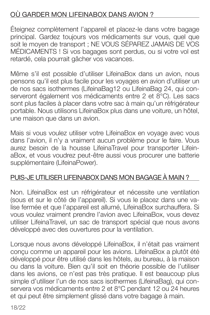## OÙ GARDER MON LIFEINABOX DANS AVION ?

Éteignez complètement l'appareil et placez-le dans votre bagage principal. Gardez toujours vos médicaments sur vous, quel que soit le moyen de transport ; NE VOUS SÉPAREZ JAMAIS DE VOS MÉDICAMENTS ! Si vos bagages sont perdus, ou si votre vol est retardé, cela pourrait gâcher vos vacances.

Même s'il est possible d'utiliser LifeinaBox dans un avion, nous pensons qu'il est plus facile pour les voyages en avion d'utiliser un de nos sacs isothermes (LifeinaBag12 ou LifeinaBag 24, qui conserveront également vos médicaments entre 2 et 8°C). Les sacs sont plus faciles à placer dans votre sac à main qu'un réfrigérateur portable. Nous utilisons LifeinaBox plus dans une voiture, un hôtel, une maison que dans un avion.

Mais si vous voulez utiliser votre LifeinaBox en voyage avec vous dans l'avion, il n'y a vraiment aucun problème pour le faire. Vous aurez besoin de la housse LifeinaTravel pour transporter LifeinaBox, et vous voudrez peut-être aussi vous procurer une batterie supplémentaire (LifeinaPower).

#### PUIS-JE UTILISER LIFEINABOX DANS MON BAGAGE À MAIN ?

Non. LifeinaBox est un réfrigérateur et nécessite une ventilation (sous et sur le côté de l'appareil). Si vous le placez dans une valise fermée et que l'appareil est allumé, LifeinaBox surchauffera. Si vous voulez vraiment prendre l'avion avec LifeinaBox, vous devez utiliser LifeinaTravel, un sac de transport spécial que nous avons développé avec des ouvertures pour la ventilation.

Lorsque nous avons développé LifeinaBox, il n'était pas vraiment conçu comme un appareil pour les avions. LifeinaBox a plutôt été développé pour être utilisé dans les hôtels, au bureau, à la maison ou dans la voiture. Bien qu'il soit en théorie possible de l'utiliser dans les avions, ce n'est pas très pratique. Il est beaucoup plus simple d'utiliser l'un de nos sacs isothermes (LifeinaBag), qui conservera vos médicaments entre 2 et 8°C pendant 12 ou 24 heures et qui peut être simplement glissé dans votre bagage à main.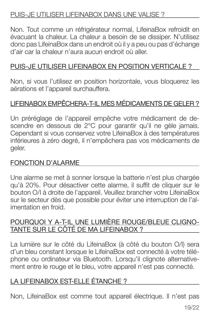#### PUIS-JE UTILISER LIFEINABOX DANS UNE VALISE ?

Non. Tout comme un réfrigérateur normal, LifeinaBox refroidit en évacuant la chaleur. La chaleur a besoin de se dissiper. N'utilisez donc pas LifeinaBox dans un endroit où il y a peu ou pas d'échange d'air car la chaleur n'aura aucun endroit où aller.

### PUIS-JE UTILISER LIFEINABOX EN POSITION VERTICALE ?

Non, si vous l'utilisez en position horizontale, vous bloquerez les aérations et l'appareil surchauffera.

### LIFEINABOX EMPÊCHERA-T-IL MES MÉDICAMENTS DE GELER ?

Un préréglage de l'appareil empêche votre médicament de descendre en dessous de 2°C pour garantir qu'il ne gèle jamais. Cependant si vous conservez votre LifeinaBox à des températures inférieures à zéro degré, il n'empêchera pas vos médicaments de geler.

#### FONCTION D'ALARME

Une alarme se met à sonner lorsque la batterie n'est plus chargée qu'à 20%. Pour désactiver cette alarme, il suffit de cliquer sur le bouton O/I à droite de l'appareil. Veuillez brancher votre LifeinaBox sur le secteur dès que possible pour éviter une interruption de l'alimentation en froid.

#### POURQUOI Y A-T-IL UNE LUMIÈRE ROUGE/BLEUE CLIGNO-TANTE SUR LE CÔTÉ DE MA LIFEINABOX ?

La lumière sur le côté du LifeinaBox (à côté du bouton O/I) sera d'un bleu constant lorsque le LifeinaBox est connecté à votre téléphone ou ordinateur via Bluetooth. Lorsqu'il clignote alternativement entre le rouge et le bleu, votre appareil n'est pas connecté.

### LA LIFEINABOX EST-ELLE ÉTANCHE ?

Non, LifeinaBox est comme tout appareil électrique. Il n'est pas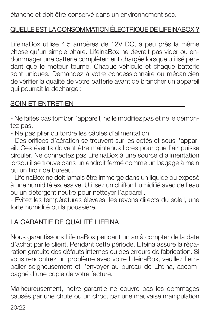étanche et doit être conservé dans un environnement sec.

## QUELLE EST LA CONSOMMATION ÉLECTRIQUE DE LIFEINABOX ?

LifeinaBox utilise 4,5 ampères de 12V DC, à peu près la même chose qu'un simple phare. LifeinaBox ne devrait pas vider ou endommager une batterie complètement chargée lorsque utilisé pendant que le moteur tourne. Chaque véhicule et chaque batterie sont uniques. Demandez à votre concessionnaire ou mécanicien de vérifier la qualité de votre batterie avant de brancher un appareil qui pourrait la décharger.

### SOIN ET ENTRETIEN

- Ne faites pas tomber l'appareil, ne le modifiez pas et ne le démontez pas.

- Ne pas plier ou tordre les câbles d'alimentation.

- Des orifices d'aération se trouvent sur les côtés et sous l'appareil. Ces évents doivent être maintenus libres pour que l'air puisse circuler. Ne connectez pas LifeinaBox à une source d'alimentation lorsqu'il se trouve dans un endroit fermé comme un bagage à main ou un tiroir de bureau.

- LifeinaBox ne doit jamais être immergé dans un liquide ou exposé à une humidité excessive. Utilisez un chiffon humidifié avec de l'eau ou un détergent neutre pour nettoyer l'appareil.

- Évitez les températures élevées, les rayons directs du soleil, une forte humidité ou la poussière.

## LA GARANTIE DE QUALITÉ LIFEINA

Nous garantissons LifeinaBox pendant un an à compter de la date d'achat par le client. Pendant cette période, Lifeina assure la réparation gratuite des défauts internes ou des erreurs de fabrication. Si vous rencontrez un problème avec votre LifeinaBox, veuillez l'emballer soigneusement et l'envoyer au bureau de Lifeina, accompagné d'une copie de votre facture.

Malheureusement, notre garantie ne couvre pas les dommages causés par une chute ou un choc, par une mauvaise manipulation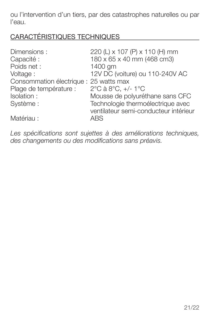ou l'intervention d'un tiers, par des catastrophes naturelles ou par l'eau.

## CARACTÉRISTIQUES TECHNIQUES

| Dimensions:                            | 220 (L) x 107 (P) x 110 (H) mm        |
|----------------------------------------|---------------------------------------|
| Capacité :                             | 180 x 65 x 40 mm (468 cm3)            |
| Poids net:                             | 1400 gm                               |
| Voltage:                               | 12V DC (voiture) ou 110-240V AC       |
| Consommation électrique : 25 watts max |                                       |
| Plage de température :                 | 2°C à 8°C, $+/- 1$ °C                 |
| Isolation:                             | Mousse de polyuréthane sans CFC       |
| Système :                              | Technologie thermoélectrique avec     |
|                                        | ventilateur semi-conducteur intérieur |
| Matériau:                              | ARS.                                  |

*Les spécifications sont sujettes à des améliorations techniques, des changements ou des modifications sans préavis.*